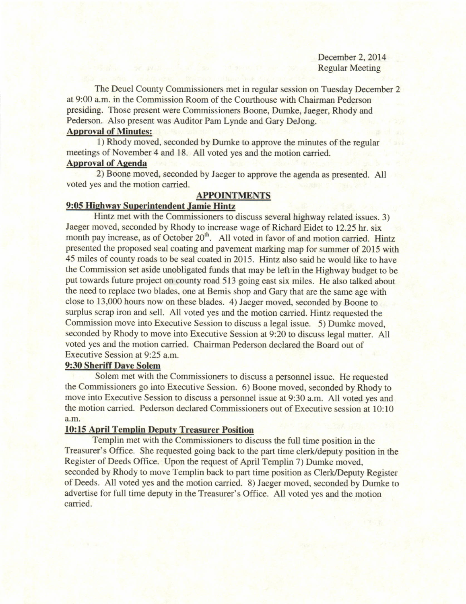December 2, 2014 Regular Meeting

The Deuel County Commissioners met in regular session on Tuesday December 2 at 9:00 a.m. in the Commission Room of the Courthouse with Chairman Pederson presiding. Those present were Commissioners Boone, Dumke, Jaeger, Rhody and Pederson. Also present was Auditor Pam Lynde and Gary DeJong.

## Approval of Minutes:

1) Rhody moved, seconded by Dumke to approve the minutes of the regular meetings of November 4 and 18. All voted yes and the motion carried.

## **Approval of Agenda**

2) Boone moved, seconded by Jaeger to approve the agenda as presented. All voted yes and the motion carried.

### **APPOINTMENTS**

## 9:05 Hishway Superintendent Jamie Hintz

Hintz met with the Commissioners to discuss several highway related issues. 3) Jaeger moved, seconded by Rhody to increase wage of Richard Eidet to 12.25 hr. six month pay increase, as of October 20<sup>th</sup>. All voted in favor of and motion carried. Hintz presented the proposed seal coating and pavement marking map for summer of 2015 with 45 miles of county roads to be seal coated in 2015. Hintz also said he would like to have the Commission set aside unobligated funds that may be left in the Highway budget to be put towards future project on county road 513 going east six miles. He also talked about the need to replace two blades, one at Bemis shop and Gary that are the same age with close to 13,000 hours now on these blades. 4) Jaeger moved, seconded by Boone to surplus scrap iron and sell. All voted yes and the motion carried. Hintz requested the Commission move into Executive Session to discuss a legal issue. 5) Dumke moved, seconded by Rhody to move into Executive Session at 9:20 to discuss legal matter. All voted yes and the motion carried. Chairman Pederson declared the Board out of Executive Session at 9:25 a.m.

### 9:30 Sheriff Dave Solem

Solem met with the Commissioners to discuss a personnel issue. He requested the Commissioners go into Executive Session. 6) Boone moved, seconded by Rhody to move into Executive Session to discuss a personnel issue at 9:30 a.m. All voted yes and the motion carried. Pederson declared Commissioners out of Executive session at 10:10 a.m.

#### 10:15 April Templin Deputy Treasurer Position

Templin met with the Commissioners to discuss the full time position in the Treasurer's Office. She requested going back to the part time clerk/deputy position in the Register of Deeds Office. Upon the request of April Templin 7) Dumke moved, seconded by Rhody to move Templin back to part time position as Clerk/Deputy Register of Deeds. All voted yes and the motion carried. 8) Jaeger moved, seconded by Dumke to advertise for full time deputy in the Treasurer's Office. All voted yes and the motion carried.